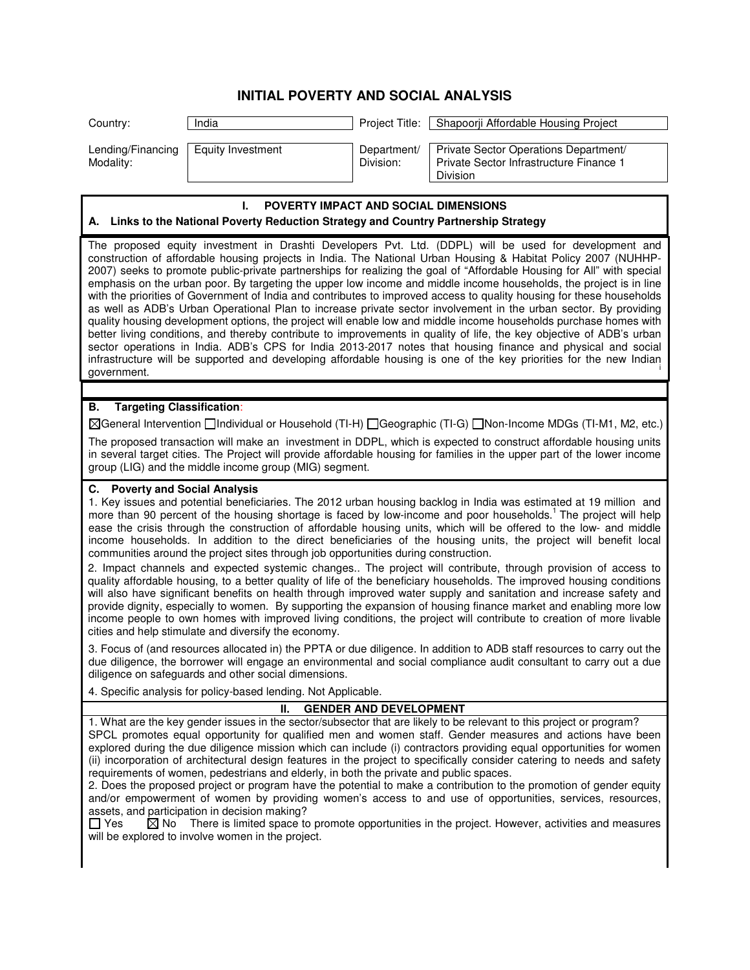## **INITIAL POVERTY AND SOCIAL ANALYSIS**

| Country:                       | India             | Proiect Title:           | Shapoorji Affordable Housing Project                                                         |
|--------------------------------|-------------------|--------------------------|----------------------------------------------------------------------------------------------|
| Lending/Financing<br>Modality: | Equity Investment | Department/<br>Division: | Private Sector Operations Department/<br>Private Sector Infrastructure Finance 1<br>Division |

# **I. POVERTY IMPACT AND SOCIAL DIMENSIONS**

#### **A. Links to the National Poverty Reduction Strategy and Country Partnership Strategy**

The proposed equity investment in Drashti Developers Pvt. Ltd. (DDPL) will be used for development and construction of affordable housing projects in India. The National Urban Housing & Habitat Policy 2007 (NUHHP-2007) seeks to promote public-private partnerships for realizing the goal of "Affordable Housing for All" with special emphasis on the urban poor. By targeting the upper low income and middle income households, the project is in line with the priorities of Government of India and contributes to improved access to quality housing for these households as well as ADB's Urban Operational Plan to increase private sector involvement in the urban sector. By providing quality housing development options, the project will enable low and middle income households purchase homes with better living conditions, and thereby contribute to improvements in quality of life, the key objective of ADB's urban sector operations in India. ADB's CPS for India 2013-2017 notes that housing finance and physical and social infrastructure will be supported and developing affordable housing is one of the key priorities for the new Indian<br>government. government.

#### **B. Targeting Classification**:

General Intervention Individual or Household (TI-H) Geographic (TI-G) Non-Income MDGs (TI-M1, M2, etc.)

The proposed transaction will make an investment in DDPL, which is expected to construct affordable housing units in several target cities. The Project will provide affordable housing for families in the upper part of the lower income group (LIG) and the middle income group (MIG) segment.

#### **C. Poverty and Social Analysis**

1. Key issues and potential beneficiaries. The 2012 urban housing backlog in India was estimated at 19 million and more than 90 percent of the housing shortage is faced by low-income and poor households.<sup>1</sup> The project will help ease the crisis through the construction of affordable housing units, which will be offered to the low- and middle income households. In addition to the direct beneficiaries of the housing units, the project will benefit local communities around the project sites through job opportunities during construction.

2. Impact channels and expected systemic changes.. The project will contribute, through provision of access to quality affordable housing, to a better quality of life of the beneficiary households. The improved housing conditions will also have significant benefits on health through improved water supply and sanitation and increase safety and provide dignity, especially to women. By supporting the expansion of housing finance market and enabling more low income people to own homes with improved living conditions, the project will contribute to creation of more livable cities and help stimulate and diversify the economy.

3. Focus of (and resources allocated in) the PPTA or due diligence. In addition to ADB staff resources to carry out the due diligence, the borrower will engage an environmental and social compliance audit consultant to carry out a due diligence on safeguards and other social dimensions.

4. Specific analysis for policy-based lending. Not Applicable.

### **II. GENDER AND DEVELOPMENT**

1. What are the key gender issues in the sector/subsector that are likely to be relevant to this project or program? SPCL promotes equal opportunity for qualified men and women staff. Gender measures and actions have been explored during the due diligence mission which can include (i) contractors providing equal opportunities for women (ii) incorporation of architectural design features in the project to specifically consider catering to needs and safety requirements of women, pedestrians and elderly, in both the private and public spaces.

2. Does the proposed project or program have the potential to make a contribution to the promotion of gender equity and/or empowerment of women by providing women's access to and use of opportunities, services, resources, assets, and participation in decision making?

 $\Box$  Yes  $\boxtimes$  No There is limited space to promote opportunities in the project. However, activities and measures will be explored to involve women in the project.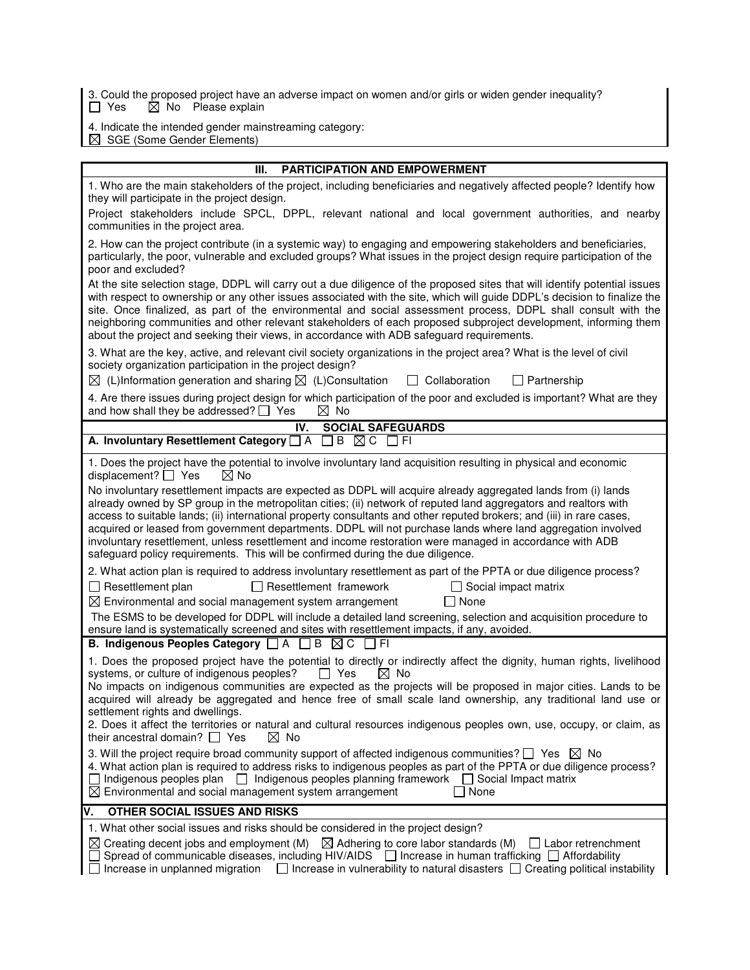3. Could the proposed project have an adverse impact on women and/or girls or widen gender inequality? Yes  $\boxtimes$  No Please explain

- 4. Indicate the intended gender mainstreaming category:
- SGE (Some Gender Elements)

| Ш.                                                                                                                                                                                                                                                                                                                                                                                                                                                                                                                                                                                                                                                                        |  |  |  |
|---------------------------------------------------------------------------------------------------------------------------------------------------------------------------------------------------------------------------------------------------------------------------------------------------------------------------------------------------------------------------------------------------------------------------------------------------------------------------------------------------------------------------------------------------------------------------------------------------------------------------------------------------------------------------|--|--|--|
| <b>PARTICIPATION AND EMPOWERMENT</b>                                                                                                                                                                                                                                                                                                                                                                                                                                                                                                                                                                                                                                      |  |  |  |
| 1. Who are the main stakeholders of the project, including beneficiaries and negatively affected people? Identify how<br>they will participate in the project design.                                                                                                                                                                                                                                                                                                                                                                                                                                                                                                     |  |  |  |
| Project stakeholders include SPCL, DPPL, relevant national and local government authorities, and nearby<br>communities in the project area.                                                                                                                                                                                                                                                                                                                                                                                                                                                                                                                               |  |  |  |
| 2. How can the project contribute (in a systemic way) to engaging and empowering stakeholders and beneficiaries,<br>particularly, the poor, vulnerable and excluded groups? What issues in the project design require participation of the<br>poor and excluded?                                                                                                                                                                                                                                                                                                                                                                                                          |  |  |  |
| At the site selection stage, DDPL will carry out a due diligence of the proposed sites that will identify potential issues<br>with respect to ownership or any other issues associated with the site, which will guide DDPL's decision to finalize the<br>site. Once finalized, as part of the environmental and social assessment process, DDPL shall consult with the<br>neighboring communities and other relevant stakeholders of each proposed subproject development, informing them<br>about the project and seeking their views, in accordance with ADB safeguard requirements.                                                                                   |  |  |  |
| 3. What are the key, active, and relevant civil society organizations in the project area? What is the level of civil<br>society organization participation in the project design?<br>$\boxtimes$ (L)Information generation and sharing $\boxtimes$ (L)Consultation<br>$\Box$ Collaboration<br>$\Box$ Partnership                                                                                                                                                                                                                                                                                                                                                         |  |  |  |
|                                                                                                                                                                                                                                                                                                                                                                                                                                                                                                                                                                                                                                                                           |  |  |  |
| 4. Are there issues during project design for which participation of the poor and excluded is important? What are they<br>and how shall they be addressed? $\Box$ Yes<br>$\boxtimes$ No                                                                                                                                                                                                                                                                                                                                                                                                                                                                                   |  |  |  |
| IV.<br><b>SOCIAL SAFEGUARDS</b>                                                                                                                                                                                                                                                                                                                                                                                                                                                                                                                                                                                                                                           |  |  |  |
| A. Involuntary Resettlement Category $\Box$ A $\Box$ B $\boxtimes$ C $\Box$ FI                                                                                                                                                                                                                                                                                                                                                                                                                                                                                                                                                                                            |  |  |  |
| 1. Does the project have the potential to involve involuntary land acquisition resulting in physical and economic<br>displacement? $\Box$ Yes<br>$\boxtimes$ No                                                                                                                                                                                                                                                                                                                                                                                                                                                                                                           |  |  |  |
| No involuntary resettlement impacts are expected as DDPL will acquire already aggregated lands from (i) lands<br>already owned by SP group in the metropolitan cities; (ii) network of reputed land aggregators and realtors with<br>access to suitable lands; (ii) international property consultants and other reputed brokers; and (iii) in rare cases,<br>acquired or leased from government departments. DDPL will not purchase lands where land aggregation involved<br>involuntary resettlement, unless resettlement and income restoration were managed in accordance with ADB<br>safeguard policy requirements. This will be confirmed during the due diligence. |  |  |  |
| 2. What action plan is required to address involuntary resettlement as part of the PPTA or due diligence process?<br>$\Box$ Resettlement plan<br>$\Box$ Resettlement framework<br>$\Box$ Social impact matrix<br>$\Box$ None<br>$\boxtimes$ Environmental and social management system arrangement                                                                                                                                                                                                                                                                                                                                                                        |  |  |  |
| The ESMS to be developed for DDPL will include a detailed land screening, selection and acquisition procedure to<br>ensure land is systematically screened and sites with resettlement impacts, if any, avoided.                                                                                                                                                                                                                                                                                                                                                                                                                                                          |  |  |  |
| B. Indigenous Peoples Category □ A □ B ⊠ C □ FI                                                                                                                                                                                                                                                                                                                                                                                                                                                                                                                                                                                                                           |  |  |  |
| 1. Does the proposed project have the potential to directly or indirectly affect the dignity, human rights, livelihood<br>systems, or culture of indigenous peoples?<br>$\Box$ Yes<br>$\boxtimes$ No<br>No impacts on indigenous communities are expected as the projects will be proposed in major cities. Lands to be<br>acquired will already be aggregated and hence free of small scale land ownership, any traditional land use or<br>settlement rights and dwellings.<br>2. Does it affect the territories or natural and cultural resources indigenous peoples own, use, occupy, or claim, as                                                                     |  |  |  |
| their ancestral domain? $\Box$ Yes<br>⊠ No<br>3. Will the project require broad community support of affected indigenous communities? $\square$ Yes $\square$ No                                                                                                                                                                                                                                                                                                                                                                                                                                                                                                          |  |  |  |
| 4. What action plan is required to address risks to indigenous peoples as part of the PPTA or due diligence process?<br>Indigenous peoples plan   Indigenous peoples planning framework   Social Impact matrix<br>$\boxtimes$ Environmental and social management system arrangement<br>None                                                                                                                                                                                                                                                                                                                                                                              |  |  |  |
| ٧.<br>OTHER SOCIAL ISSUES AND RISKS                                                                                                                                                                                                                                                                                                                                                                                                                                                                                                                                                                                                                                       |  |  |  |
| 1. What other social issues and risks should be considered in the project design?                                                                                                                                                                                                                                                                                                                                                                                                                                                                                                                                                                                         |  |  |  |
| $\boxtimes$ Creating decent jobs and employment (M) $\boxtimes$ Adhering to core labor standards (M)<br>  Labor retrenchment<br>Spread of communicable diseases, including HIV/AIDS $\Box$ Increase in human trafficking $\Box$ Affordability<br>Increase in unplanned migration<br>$\Box$ Increase in vulnerability to natural disasters [<br>Creating political instability                                                                                                                                                                                                                                                                                             |  |  |  |